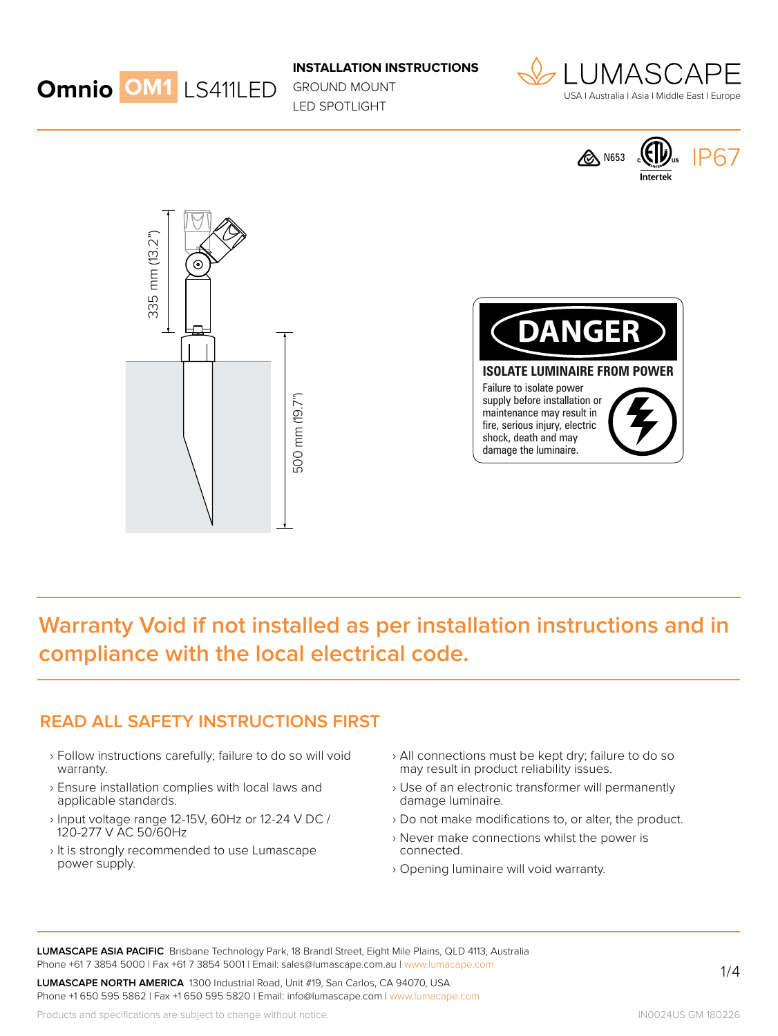

GROUND MOUNT LED SPOTLIGHT









# **Warranty Void if not installed as per installation instructions and in compliance with the local electrical code.**

#### **READ ALL SAFETY INSTRUCTIONS FIRST**

- › Follow instructions carefully; failure to do so will void warranty.
- › Ensure installation complies with local laws and applicable standards.
- › Input voltage range 12-15V, 60Hz or 12-24 V DC / 120-277 V AC 50/60Hz
- › It is strongly recommended to use Lumascape power supply.
- › All connections must be kept dry; failure to do so may result in product reliability issues.
- › Use of an electronic transformer will permanently damage luminaire.
- › Do not make modifications to, or alter, the product.
- › Never make connections whilst the power is connected.
- › Opening luminaire will void warranty.

**LUMASCAPE ASIA PACIFIC** Brisbane Technology Park, 18 Brandl Street, Eight Mile Plains, QLD 4113, Australia Phone +61 7 3854 5000 | Fax +61 7 3854 5001 | Email: sales@lumascape.com.au | www.lumacape.com

**LUMASCAPE NORTH AMERICA** 1300 Industrial Road, Unit #19, San Carlos, CA 94070, USA Phone +1 650 595 5862 | Fax +1 650 595 5820 | Email: info@lumascape.com | www.lumacape.com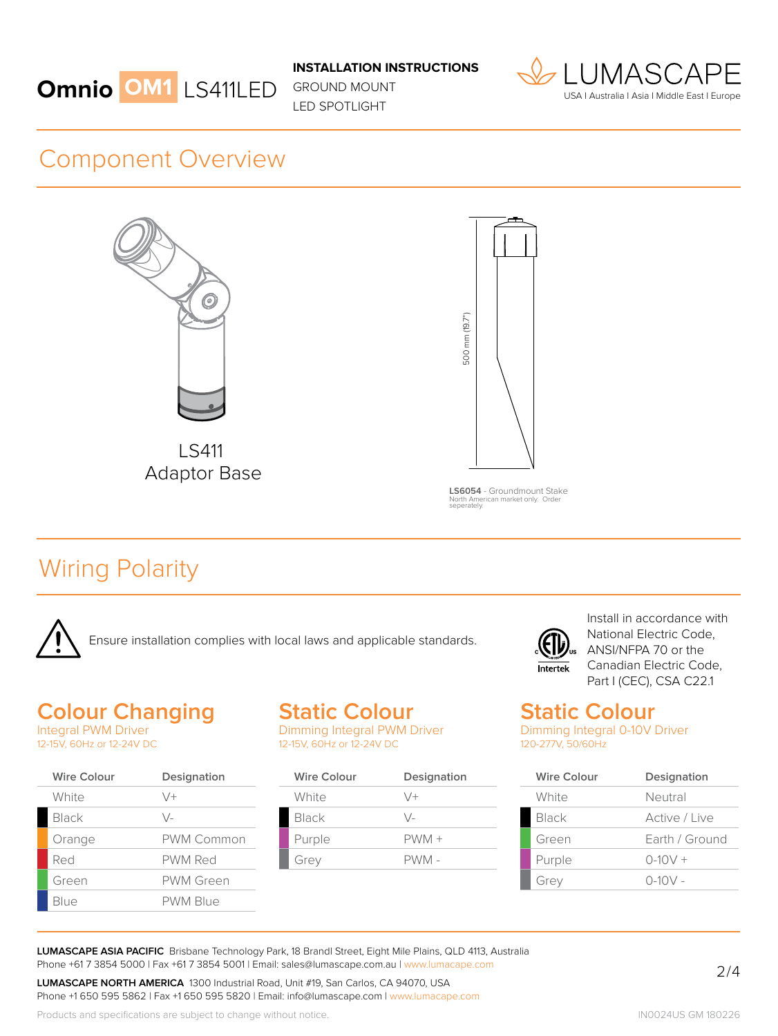

GROUND MOUNT LED SPOTLIGHT



### Component Overview



LS411 Adaptor Base



**LS6054** - Groundmount Stake North American market only. Order seperately.

# Wiring Polarity



### **Colour Changing**

Integral PWM Driver 12-15V, 60Hz or 12-24V DC

| <b>Wire Colour</b> | Designation     |
|--------------------|-----------------|
| White              | $\vee$ +        |
| Black              | \/-             |
| Orange             | PWM Common      |
| Red                | PWM Red         |
| Green              | PWM Green       |
| Blue               | <b>PWM Blue</b> |

# **Static Colour**

Dimming Integral PWM Driver 12-15V, 60Hz or 12-24V DC

| <b>Wire Colour</b> | Designation   |
|--------------------|---------------|
| White              | $\sqrt{+}$    |
| Black              | $\setminus$ / |
| Purple             | $PWM +$       |
| Grey               | PWM -         |



Install in accordance with National Electric Code, ANSI/NFPA 70 or the Canadian Electric Code, Part I (CEC), CSA C22.1

### **Static Colour**

Dimming Integral 0-10V Driver 120-277V, 50/60Hz

| Wire Colour  | Designation    |
|--------------|----------------|
| White        | Neutral        |
| <b>Black</b> | Active / Live  |
| Green        | Earth / Ground |
| Purple       | $0-10V +$      |
| Grey         | $0 - 10V -$    |

**LUMASCAPE ASIA PACIFIC** Brisbane Technology Park, 18 Brandl Street, Eight Mile Plains, QLD 4113, Australia Phone +61 7 3854 5000 | Fax +61 7 3854 5001 | Email: sales@lumascape.com.au | www.lumacape.com

**LUMASCAPE NORTH AMERICA** 1300 Industrial Road, Unit #19, San Carlos, CA 94070, USA Phone +1 650 595 5862 | Fax +1 650 595 5820 | Email: info@lumascape.com | www.lumacape.com

Products and specifications are subject to change without notice.

IN0024US GM 180226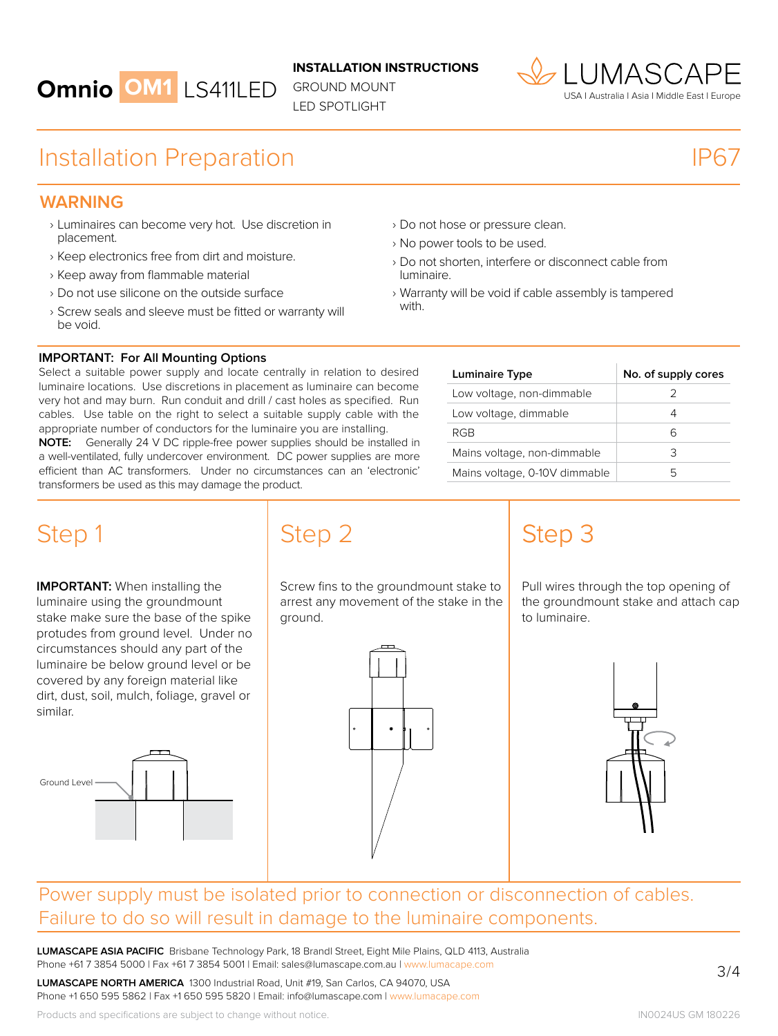

GROUND MOUNT LED SPOTLIGHT



## Installation Preparation

# IP67

#### **WARNING**

- › Luminaires can become very hot. Use discretion in placement.
- › Keep electronics free from dirt and moisture.
- › Keep away from flammable material
- › Do not use silicone on the outside surface
- › Screw seals and sleeve must be fitted or warranty will be void.
- › Do not hose or pressure clean.
- › No power tools to be used.
- › Do not shorten, interfere or disconnect cable from luminaire.
- › Warranty will be void if cable assembly is tampered with.

| <b>IMPORTANT: For All Mounting Options</b> |  |  |  |
|--------------------------------------------|--|--|--|
|--------------------------------------------|--|--|--|

Select a suitable power supply and locate centrally in relation to desired luminaire locations. Use discretions in placement as luminaire can become very hot and may burn. Run conduit and drill / cast holes as specified. Run cables. Use table on the right to select a suitable supply cable with the appropriate number of conductors for the luminaire you are installing.

**NOTE:** Generally 24 V DC ripple-free power supplies should be installed in a well-ventilated, fully undercover environment. DC power supplies are more efficient than AC transformers. Under no circumstances can an 'electronic' transformers be used as this may damage the product.

| Luminaire Type                | No. of supply cores |
|-------------------------------|---------------------|
| Low voltage, non-dimmable     |                     |
| Low voltage, dimmable         |                     |
| RGB                           |                     |
| Mains voltage, non-dimmable   | 3                   |
| Mains voltage, 0-10V dimmable |                     |

**IMPORTANT:** When installing the luminaire using the groundmount stake make sure the base of the spike protudes from ground level. Under no circumstances should any part of the luminaire be below ground level or be covered by any foreign material like dirt, dust, soil, mulch, foliage, gravel or similar.



Step 1 Step 2

Screw fins to the groundmount stake to arrest any movement of the stake in the ground.



# Step 3

Pull wires through the top opening of the groundmount stake and attach cap to luminaire.



### Power supply must be isolated prior to connection or disconnection of cables. Failure to do so will result in damage to the luminaire components.

**LUMASCAPE ASIA PACIFIC** Brisbane Technology Park, 18 Brandl Street, Eight Mile Plains, QLD 4113, Australia Phone +61 7 3854 5000 | Fax +61 7 3854 5001 | Email: sales@lumascape.com.au | www.lumacape.com

**LUMASCAPE NORTH AMERICA** 1300 Industrial Road, Unit #19, San Carlos, CA 94070, USA Phone +1 650 595 5862 | Fax +1 650 595 5820 | Email: info@lumascape.com | www.lumacape.com 3 / 4